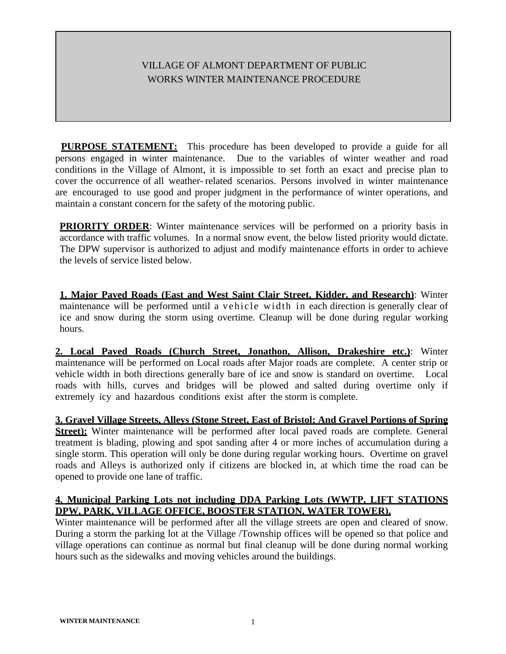## VILLAGE OF ALMONT DEPARTMENT OF PUBLIC WORKS WINTER MAINTENANCE PROCEDURE

**PURPOSE STATEMENT:** This procedure has been developed to provide a guide for all persons engaged in winter maintenance. Due to the variables of winter weather and road conditions in the Village of Almont, it is impossible to set forth an exact and precise plan to cover the occurrence of all weather- related scenarios. Persons involved in winter maintenance are encouraged to use good and proper judgment in the performance of winter operations, and maintain a constant concern for the safety of the motoring public.

**PRIORITY ORDER:** Winter maintenance services will be performed on a priority basis in accordance with traffic volumes. In a normal snow event, the below listed priority would dictate. The DPW supervisor is authorized to adjust and modify maintenance efforts in order to achieve the levels of service listed below.

**1. Major Paved Roads (East and West Saint Clair Street, Kidder, and Research)**: Winter maintenance will be performed until a vehicle width in each direction is generally clear of ice and snow during the storm using overtime. Cleanup will be done during regular working hours.

**2. Local Paved Roads (Church Street, Jonathon, Allison, Drakeshire etc.)**: Winter maintenance will be performed on Local roads after Major roads are complete. A center strip or vehicle width in both directions generally bare of ice and snow is standard on overtime. Local roads with hills, curves and bridges will be plowed and salted during overtime only if extremely icy and hazardous conditions exist after the storm is complete.

**3. Gravel Village Streets, Alleys (Stone Street, East of Bristol; And Gravel Portions of Spring Street):** Winter maintenance will be performed after local paved roads are complete. General treatment is blading, plowing and spot sanding after 4 or more inches of accumulation during a single storm. This operation will only be done during regular working hours. Overtime on gravel roads and Alleys is authorized only if citizens are blocked in, at which time the road can be opened to provide one lane of traffic.

## **4. Municipal Parking Lots not including DDA Parking Lots (WWTP, LIFT STATIONS DPW, PARK, VILLAGE OFFICE, BOOSTER STATION, WATER TOWER),**

Winter maintenance will be performed after all the village streets are open and cleared of snow. During a storm the parking lot at the Village /Township offices will be opened so that police and village operations can continue as normal but final cleanup will be done during normal working hours such as the sidewalks and moving vehicles around the buildings.